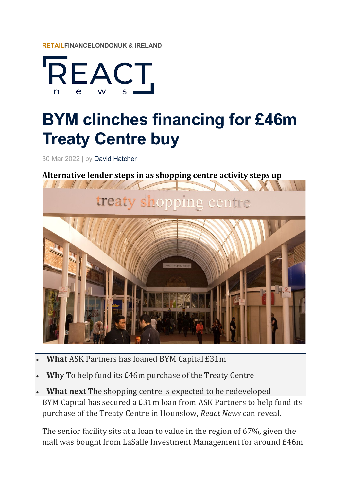



## **BYM clinches financing for £46m Treaty Centre buy**

30 Mar 2022 | by David Hatcher

Alternative lender steps in as shopping centre activity steps up



- **What** ASK Partners has loaned BYM Capital £31m
- **Why** To help fund its £46m purchase of the Treaty Centre
- What next The shopping centre is expected to be redeveloped BYM Capital has secured a £31m loan from ASK Partners to help fund its purchase of the Treaty Centre in Hounslow, *React News* can reveal.

The senior facility sits at a loan to value in the region of  $67\%$ , given the mall was bought from LaSalle Investment Management for around £46m.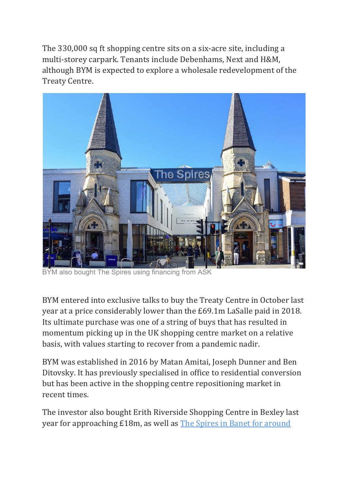The 330,000 sq ft shopping centre sits on a six-acre site, including a multi-storey carpark. Tenants include Debenhams, Next and H&M, although BYM is expected to explore a wholesale redevelopment of the Treaty Centre.



BYM also bought The Spires using financing from ASK

BYM entered into exclusive talks to buy the Treaty Centre in October last year at a price considerably lower than the £69.1m LaSalle paid in 2018. Its ultimate purchase was one of a string of buys that has resulted in momentum picking up in the UK shopping centre market on a relative basis, with values starting to recover from a pandemic nadir.

BYM was established in 2016 by Matan Amitai, Joseph Dunner and Ben Ditovsky. It has previously specialised in office to residential conversion but has been active in the shopping centre repositioning market in recent times.

The investor also bought Erith Riverside Shopping Centre in Bexley last year for approaching £18m, as well as The Spires in Banet for around